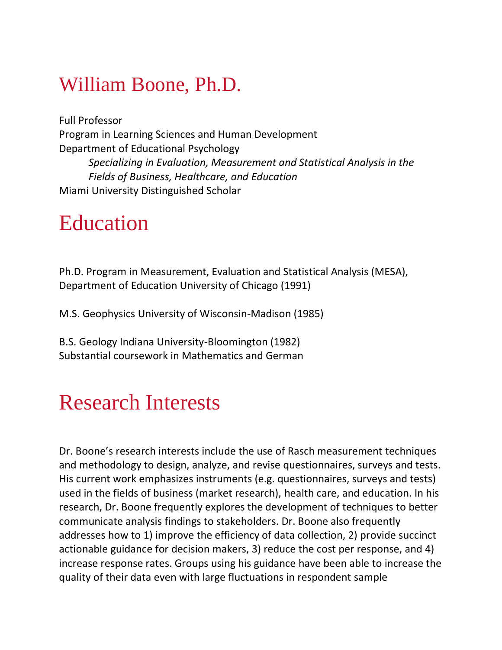### William Boone, Ph.D.

Full Professor Program in Learning Sciences and Human Development Department of Educational Psychology *Specializing in Evaluation, Measurement and Statistical Analysis in the Fields of Business, Healthcare, and Education*  Miami University Distinguished Scholar

### Education

Ph.D. Program in Measurement, Evaluation and Statistical Analysis (MESA), Department of Education University of Chicago (1991)

M.S. Geophysics University of Wisconsin-Madison (1985)

B.S. Geology Indiana University-Bloomington (1982) Substantial coursework in Mathematics and German

### Research Interests

Dr. Boone's research interests include the use of Rasch measurement techniques and methodology to design, analyze, and revise questionnaires, surveys and tests. His current work emphasizes instruments (e.g. questionnaires, surveys and tests) used in the fields of business (market research), health care, and education. In his research, Dr. Boone frequently explores the development of techniques to better communicate analysis findings to stakeholders. Dr. Boone also frequently addresses how to 1) improve the efficiency of data collection, 2) provide succinct actionable guidance for decision makers, 3) reduce the cost per response, and 4) increase response rates. Groups using his guidance have been able to increase the quality of their data even with large fluctuations in respondent sample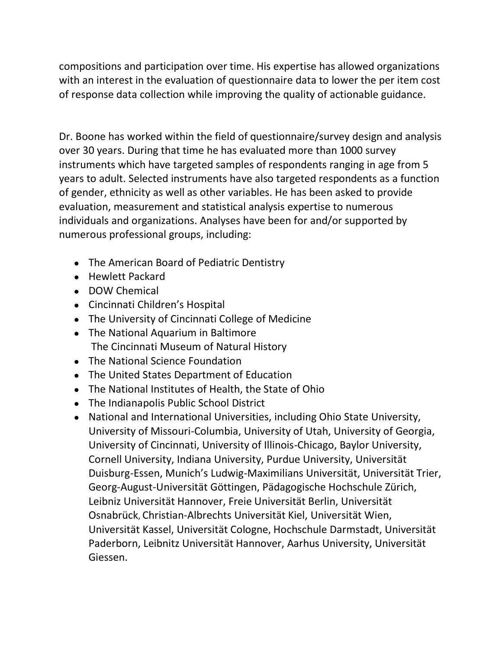compositions and participation over time. His expertise has allowed organizations with an interest in the evaluation of questionnaire data to lower the per item cost of response data collection while improving the quality of actionable guidance.

Dr. Boone has worked within the field of questionnaire/survey design and analysis over 30 years. During that time he has evaluated more than 1000 survey instruments which have targeted samples of respondents ranging in age from 5 years to adult. Selected instruments have also targeted respondents as a function of gender, ethnicity as well as other variables. He has been asked to provide evaluation, measurement and statistical analysis expertise to numerous individuals and organizations. Analyses have been for and/or supported by numerous professional groups, including:

- The American Board of Pediatric Dentistry
- Hewlett Packard
- DOW Chemical
- Cincinnati Children's Hospital
- The University of Cincinnati College of Medicine
- The National Aquarium in Baltimore The Cincinnati Museum of Natural History
- The National Science Foundation
- The United States Department of Education
- The National Institutes of Health, the State of Ohio
- The Indianapolis Public School District
- National and International Universities, including Ohio State University, University of Missouri-Columbia, University of Utah, University of Georgia, University of Cincinnati, University of Illinois-Chicago, Baylor University, Cornell University, Indiana University, Purdue University, Universität Duisburg-Essen, Munich's Ludwig-Maximilians Universität, Universität Trier, Georg-August-Universität Göttingen, Pädagogische Hochschule Zürich, Leibniz Universität Hannover, Freie Universität Berlin, Universität Osnabrück, Christian-Albrechts Universität Kiel, Universität Wien, Universität Kassel, Universität Cologne, Hochschule Darmstadt, Universität Paderborn, Leibnitz Universität Hannover, Aarhus University, Universität Giessen.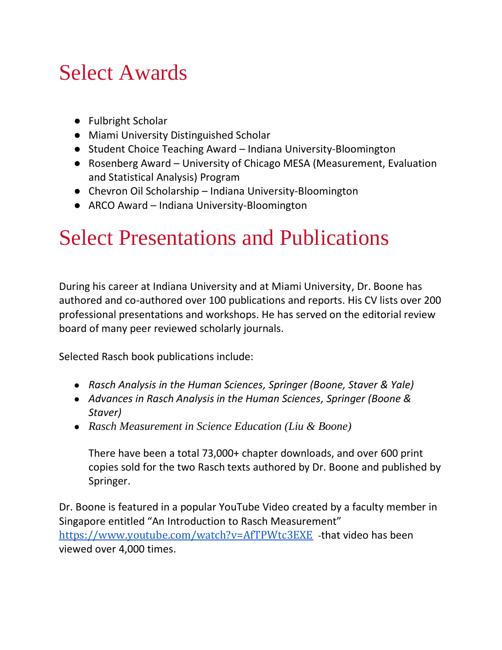## Select Awards

- Fulbright Scholar
- Miami University Distinguished Scholar
- Student Choice Teaching Award Indiana University-Bloomington
- Rosenberg Award University of Chicago MESA (Measurement, Evaluation and Statistical Analysis) Program
- Chevron Oil Scholarship Indiana University-Bloomington
- ARCO Award Indiana University-Bloomington

## Select Presentations and Publications

During his career at Indiana University and at Miami University, Dr. Boone has authored and co-authored over 100 publications and reports. His CV lists over 200 professional presentations and workshops. He has served on the editorial review board of many peer reviewed scholarly journals.

Selected Rasch book publications include:

- *Rasch Analysis in the Human Sciences, Springer (Boone, Staver & Yale)*
- *Advances in Rasch Analysis in the Human Sciences, Springer (Boone & Staver)*
- *Rasch Measurement in Science Education (Liu & Boone)*

There have been a total 73,000+ chapter downloads, and over 600 print copies sold for the two Rasch texts authored by Dr. Boone and published by Springer.

Dr. Boone is featured in a popular YouTube Video created by a faculty member in Singapore entitled "An Introduction to Rasch Measurement" <https://www.youtube.com/watch?v=AfTPWtc3EXE> -that video has been viewed over 4,000 times.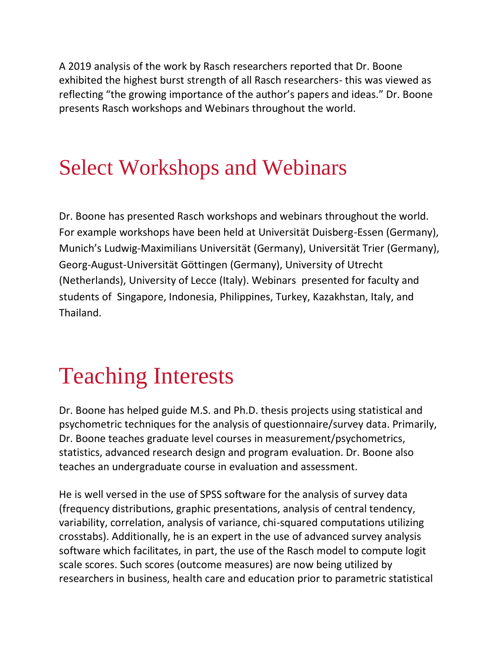A 2019 analysis of the work by Rasch researchers reported that Dr. Boone exhibited the highest burst strength of all Rasch researchers- this was viewed as reflecting "the growing importance of the author's papers and ideas." Dr. Boone presents Rasch workshops and Webinars throughout the world.

## Select Workshops and Webinars

Dr. Boone has presented Rasch workshops and webinars throughout the world. For example workshops have been held at Universität Duisberg-Essen (Germany), Munich's Ludwig-Maximilians Universität (Germany), Universität Trier (Germany), Georg-August-Universität Göttingen (Germany), University of Utrecht (Netherlands), University of Lecce (Italy). Webinars presented for faculty and students of Singapore, Indonesia, Philippines, Turkey, Kazakhstan, Italy, and Thailand.

# Teaching Interests

Dr. Boone has helped guide M.S. and Ph.D. thesis projects using statistical and psychometric techniques for the analysis of questionnaire/survey data. Primarily, Dr. Boone teaches graduate level courses in measurement/psychometrics, statistics, advanced research design and program evaluation. Dr. Boone also teaches an undergraduate course in evaluation and assessment.

He is well versed in the use of SPSS software for the analysis of survey data (frequency distributions, graphic presentations, analysis of central tendency, variability, correlation, analysis of variance, chi-squared computations utilizing crosstabs). Additionally, he is an expert in the use of advanced survey analysis software which facilitates, in part, the use of the Rasch model to compute logit scale scores. Such scores (outcome measures) are now being utilized by researchers in business, health care and education prior to parametric statistical